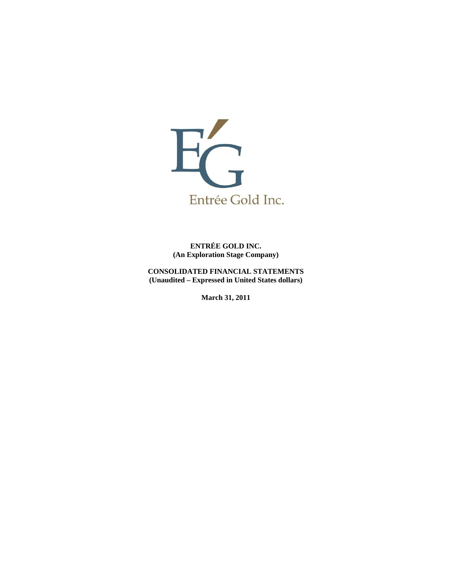

**ENTRÉE GOLD INC. (An Exploration Stage Company)** 

**CONSOLIDATED FINANCIAL STATEMENTS (Unaudited – Expressed in United States dollars)** 

**March 31, 2011**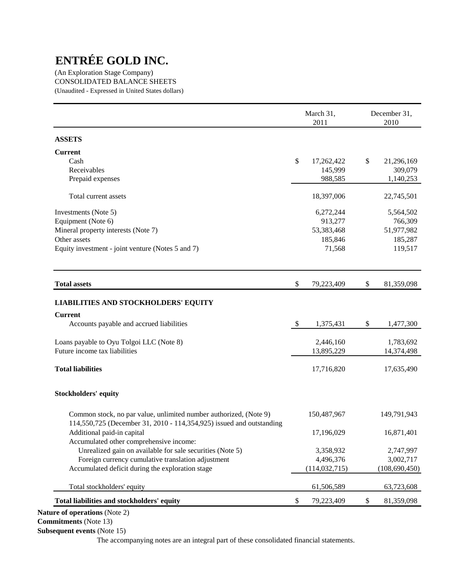(An Exploration Stage Company) CONSOLIDATED BALANCE SHEETS (Unaudited - Expressed in United States dollars)

|                                                                                                                                           |                           | March 31,<br>2011 | December 31,<br>2010         |
|-------------------------------------------------------------------------------------------------------------------------------------------|---------------------------|-------------------|------------------------------|
| <b>ASSETS</b>                                                                                                                             |                           |                   |                              |
| <b>Current</b>                                                                                                                            |                           |                   |                              |
| Cash                                                                                                                                      | \$                        | 17,262,422        | \$<br>21,296,169             |
| Receivables                                                                                                                               |                           | 145,999           | 309,079                      |
| Prepaid expenses                                                                                                                          |                           | 988,585           | 1,140,253                    |
| Total current assets                                                                                                                      |                           | 18,397,006        | 22,745,501                   |
| Investments (Note 5)                                                                                                                      |                           | 6,272,244         | 5,564,502                    |
| Equipment (Note 6)                                                                                                                        |                           | 913,277           | 766,309                      |
| Mineral property interests (Note 7)                                                                                                       |                           | 53,383,468        | 51,977,982                   |
| Other assets                                                                                                                              |                           | 185,846           | 185,287                      |
| Equity investment - joint venture (Notes 5 and 7)                                                                                         |                           | 71,568            | 119,517                      |
| <b>Total assets</b>                                                                                                                       | \$                        | 79,223,409        | \$<br>81,359,098             |
| LIABILITIES AND STOCKHOLDERS' EQUITY                                                                                                      |                           |                   |                              |
| Current                                                                                                                                   |                           |                   |                              |
| Accounts payable and accrued liabilities                                                                                                  | $\boldsymbol{\mathsf{S}}$ | 1,375,431         | \$<br>1,477,300              |
| Loans payable to Oyu Tolgoi LLC (Note 8)                                                                                                  |                           | 2,446,160         | 1,783,692                    |
| Future income tax liabilities                                                                                                             |                           | 13,895,229        | 14,374,498                   |
| <b>Total liabilities</b>                                                                                                                  |                           | 17,716,820        | 17,635,490                   |
| <b>Stockholders' equity</b>                                                                                                               |                           |                   |                              |
| Common stock, no par value, unlimited number authorized, (Note 9)<br>114,550,725 (December 31, 2010 - 114,354,925) issued and outstanding |                           | 150,487,967       | 149,791,943                  |
| Additional paid-in capital                                                                                                                |                           | 17,196,029        | 16,871,401                   |
| Accumulated other comprehensive income:                                                                                                   |                           |                   |                              |
| Unrealized gain on available for sale securities (Note 5)                                                                                 |                           | 3,358,932         | 2,747,997                    |
| Foreign currency cumulative translation adjustment<br>Accumulated deficit during the exploration stage                                    |                           | 4,496,376         | 3,002,717<br>(108, 690, 450) |
|                                                                                                                                           |                           | (114, 032, 715)   |                              |
| Total stockholders' equity                                                                                                                |                           | 61,506,589        | 63,723,608                   |
| Total liabilities and stockholders' equity                                                                                                | \$                        | 79,223,409        | \$<br>81,359,098             |

**Nature Commitments** (Note 13)

**Subsequent events** (Note 15)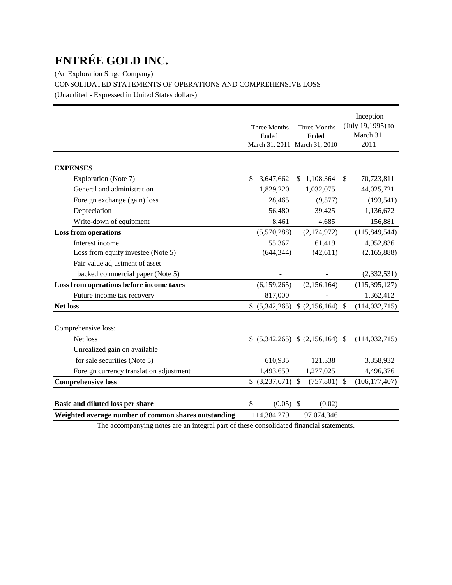(An Exploration Stage Company)

CONSOLIDATED STATEMENTS OF OPERATIONS AND COMPREHENSIVE LOSS

(Unaudited - Expressed in United States dollars)

|                                                      | Three Months<br>Ended | Three Months<br>Ended<br>March 31, 2011 March 31, 2010 | Inception<br>(July 19,1995) to<br>March 31,<br>2011 |
|------------------------------------------------------|-----------------------|--------------------------------------------------------|-----------------------------------------------------|
| <b>EXPENSES</b>                                      |                       |                                                        |                                                     |
| Exploration (Note 7)                                 | \$<br>3,647,662       | \$1,108,364                                            | \$<br>70,723,811                                    |
| General and administration                           | 1,829,220             | 1,032,075                                              | 44,025,721                                          |
| Foreign exchange (gain) loss                         | 28,465                | (9,577)                                                | (193, 541)                                          |
| Depreciation                                         | 56,480                | 39,425                                                 | 1,136,672                                           |
| Write-down of equipment                              | 8,461                 | 4,685                                                  | 156,881                                             |
| <b>Loss from operations</b>                          | (5,570,288)           | (2,174,972)                                            | (115, 849, 544)                                     |
| Interest income                                      | 55,367                | 61,419                                                 | 4,952,836                                           |
| Loss from equity investee (Note 5)                   | (644, 344)            | (42, 611)                                              | (2,165,888)                                         |
| Fair value adjustment of asset                       |                       |                                                        |                                                     |
| backed commercial paper (Note 5)                     |                       |                                                        | (2, 332, 531)                                       |
| Loss from operations before income taxes             | (6,159,265)           | (2,156,164)                                            | (115, 395, 127)                                     |
| Future income tax recovery                           | 817,000               |                                                        | 1,362,412                                           |
| <b>Net loss</b>                                      |                       | \$ (5,342,265) \$ (2,156,164) \$                       | (114, 032, 715)                                     |
| Comprehensive loss:                                  |                       |                                                        |                                                     |
| Net loss                                             | S.                    | $(5,342,265)$ \$ $(2,156,164)$ \$                      | (114, 032, 715)                                     |
| Unrealized gain on available                         |                       |                                                        |                                                     |
| for sale securities (Note 5)                         | 610,935               | 121,338                                                | 3,358,932                                           |
| Foreign currency translation adjustment              | 1,493,659             | 1,277,025                                              | 4,496,376                                           |
| <b>Comprehensive loss</b>                            | \$ (3,237,671) \$     | $(757,801)$ \$                                         | (106, 177, 407)                                     |
| Basic and diluted loss per share                     | \$<br>$(0.05)$ \$     | (0.02)                                                 |                                                     |
| Weighted average number of common shares outstanding | 114,384,279           | 97,074,346                                             |                                                     |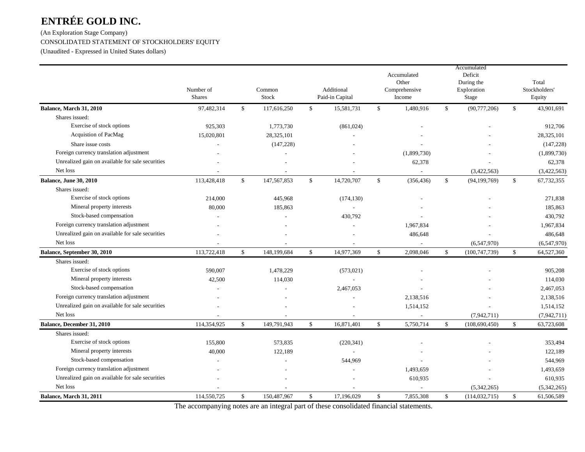## (An Exploration Stage Company) CONSOLIDATED STATEMENT OF STOCKHOLDERS' EQUITY (Unaudited - Expressed in United States dollars)

|                                                  | Number of<br><b>Shares</b> |              | Common<br>Stock |               | Additional<br>Paid-in Capital |              | Accumulated<br>Other<br>Comprehensive<br>Income |               | Accumulated<br>Deficit<br>During the<br>Exploration<br>Stage | Total<br>Stockholders'<br>Equity |
|--------------------------------------------------|----------------------------|--------------|-----------------|---------------|-------------------------------|--------------|-------------------------------------------------|---------------|--------------------------------------------------------------|----------------------------------|
| Balance, March 31, 2010                          | 97,482,314                 | \$           | 117,616,250     | $\mathbb{S}$  | 15,581,731                    | \$           | 1,480,916                                       | \$            | (90, 777, 206)                                               | \$<br>43,901,691                 |
| Shares issued:                                   |                            |              |                 |               |                               |              |                                                 |               |                                                              |                                  |
| Exercise of stock options                        | 925,303                    |              | 1,773,730       |               | (861, 024)                    |              |                                                 |               |                                                              | 912,706                          |
| Acquistion of PacMag                             | 15,020,801                 |              | 28,325,101      |               |                               |              |                                                 |               |                                                              | 28,325,101                       |
| Share issue costs                                |                            |              | (147, 228)      |               |                               |              |                                                 |               |                                                              | (147, 228)                       |
| Foreign currency translation adjustment          |                            |              |                 |               |                               |              | (1,899,730)                                     |               |                                                              | (1,899,730)                      |
| Unrealized gain on available for sale securities |                            |              |                 |               |                               |              | 62,378                                          |               |                                                              | 62,378                           |
| Net loss                                         |                            |              |                 |               |                               |              |                                                 |               | (3,422,563)                                                  | (3,422,563)                      |
| <b>Balance, June 30, 2010</b>                    | 113,428,418                | \$           | 147,567,853     | $\mathbb{S}$  | 14,720,707                    | \$           | (356, 436)                                      | $\mathbb{S}$  | (94, 199, 769)                                               | \$<br>67,732,355                 |
| Shares issued:                                   |                            |              |                 |               |                               |              |                                                 |               |                                                              |                                  |
| Exercise of stock options                        | 214,000                    |              | 445,968         |               | (174, 130)                    |              |                                                 |               |                                                              | 271,838                          |
| Mineral property interests                       | 80,000                     |              | 185,863         |               |                               |              |                                                 |               |                                                              | 185,863                          |
| Stock-based compensation                         |                            |              |                 |               | 430,792                       |              |                                                 |               |                                                              | 430,792                          |
| Foreign currency translation adjustment          |                            |              |                 |               |                               |              | 1,967,834                                       |               |                                                              | 1,967,834                        |
| Unrealized gain on available for sale securities |                            |              |                 |               |                               |              | 486,648                                         |               |                                                              | 486,648                          |
| Net loss                                         |                            |              |                 |               |                               |              |                                                 |               | (6,547,970)                                                  | (6,547,970)                      |
| Balance, September 30, 2010                      | 113,722,418                | $\mathbb{S}$ | 148,199,684     | $\mathsf{\$}$ | 14,977,369                    | $\mathbb{S}$ | 2,098,046                                       | $\mathbb{S}$  | (100, 747, 739)                                              | \$<br>64,527,360                 |
| Shares issued:                                   |                            |              |                 |               |                               |              |                                                 |               |                                                              |                                  |
| Exercise of stock options                        | 590,007                    |              | 1,478,229       |               | (573, 021)                    |              |                                                 |               |                                                              | 905,208                          |
| Mineral property interests                       | 42,500                     |              | 114,030         |               |                               |              |                                                 |               |                                                              | 114,030                          |
| Stock-based compensation                         |                            |              |                 |               | 2,467,053                     |              |                                                 |               |                                                              | 2,467,053                        |
| Foreign currency translation adjustment          |                            |              |                 |               |                               |              | 2,138,516                                       |               |                                                              | 2,138,516                        |
| Unrealized gain on available for sale securities |                            |              |                 |               |                               |              | 1,514,152                                       |               |                                                              | 1,514,152                        |
| Net loss                                         |                            |              |                 |               |                               |              |                                                 |               | (7,942,711)                                                  | (7,942,711)                      |
| Balance, December 31, 2010                       | 114,354,925                | $\mathbb{S}$ | 149,791,943     | $\mathbb{S}$  | 16,871,401                    | $\mathbb{S}$ | 5,750,714                                       | <sup>\$</sup> | (108, 690, 450)                                              | \$<br>63,723,608                 |
| Shares issued:                                   |                            |              |                 |               |                               |              |                                                 |               |                                                              |                                  |
| Exercise of stock options                        | 155,800                    |              | 573,835         |               | (220, 341)                    |              |                                                 |               |                                                              | 353,494                          |
| Mineral property interests                       | 40,000                     |              | 122,189         |               |                               |              |                                                 |               |                                                              | 122,189                          |
| Stock-based compensation                         |                            |              |                 |               | 544,969                       |              |                                                 |               |                                                              | 544,969                          |
| Foreign currency translation adjustment          |                            |              |                 |               |                               |              | 1,493,659                                       |               |                                                              | 1,493,659                        |
| Unrealized gain on available for sale securities |                            |              |                 |               |                               |              | 610,935                                         |               |                                                              | 610,935                          |
| Net loss                                         |                            |              |                 |               |                               |              |                                                 |               | (5,342,265)                                                  | (5,342,265)                      |
| Balance, March 31, 2011                          | 114,550,725                | \$           | 150,487,967     | \$            | 17,196,029                    | \$           | 7,855,308                                       | \$            | (114, 032, 715)                                              | \$<br>61,506,589                 |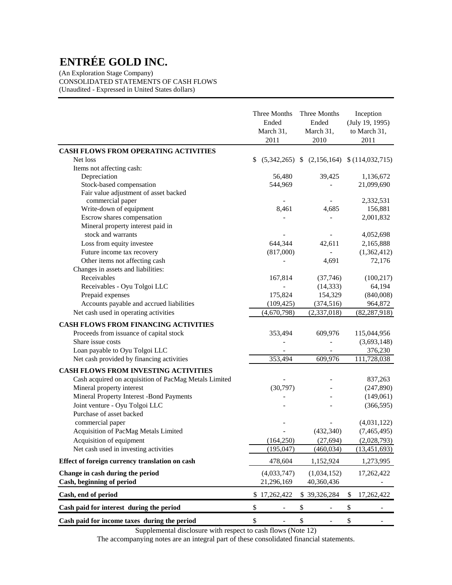(An Exploration Stage Company) CONSOLIDATED STATEMENTS OF CASH FLOWS (Unaudited - Expressed in United States dollars)

|                                                       | Three Months<br>Ended<br>March 31,<br>2011 |              | Three Months<br>Ended<br>March 31,<br>2010 | Inception<br>(July 19, 1995)<br>to March 31,<br>2011 |
|-------------------------------------------------------|--------------------------------------------|--------------|--------------------------------------------|------------------------------------------------------|
| CASH FLOWS FROM OPERATING ACTIVITIES                  |                                            |              |                                            |                                                      |
| Net loss                                              | \$                                         |              |                                            | $(5,342,265)$ \$ $(2,156,164)$ \$ $(114,032,715)$    |
| Items not affecting cash:                             |                                            |              |                                            |                                                      |
| Depreciation                                          | 56,480                                     |              | 39,425                                     | 1,136,672                                            |
| Stock-based compensation                              | 544,969                                    |              |                                            | 21,099,690                                           |
| Fair value adjustment of asset backed                 |                                            |              |                                            |                                                      |
| commercial paper                                      |                                            |              |                                            | 2,332,531                                            |
| Write-down of equipment                               | 8,461                                      |              | 4,685                                      | 156,881                                              |
| Escrow shares compensation                            |                                            |              |                                            | 2,001,832                                            |
| Mineral property interest paid in                     |                                            |              |                                            |                                                      |
| stock and warrants                                    |                                            |              |                                            | 4,052,698                                            |
| Loss from equity investee                             | 644,344                                    |              | 42,611                                     | 2,165,888                                            |
| Future income tax recovery                            | (817,000)                                  |              | $\overline{\phantom{a}}$                   | (1,362,412)                                          |
| Other items not affecting cash                        |                                            |              | 4,691                                      | 72,176                                               |
| Changes in assets and liabilities:<br>Receivables     | 167,814                                    |              |                                            |                                                      |
| Receivables - Oyu Tolgoi LLC                          |                                            |              | (37,746)<br>(14, 333)                      | (100, 217)<br>64,194                                 |
| Prepaid expenses                                      | 175,824                                    |              | 154,329                                    | (840,008)                                            |
| Accounts payable and accrued liabilities              | (109, 425)                                 |              | (374, 516)                                 | 964,872                                              |
| Net cash used in operating activities                 | (4,670,798)                                |              | (2, 337, 018)                              | (82, 287, 918)                                       |
|                                                       |                                            |              |                                            |                                                      |
| <b>CASH FLOWS FROM FINANCING ACTIVITIES</b>           |                                            |              |                                            |                                                      |
| Proceeds from issuance of capital stock               | 353,494                                    |              | 609,976                                    | 115,044,956                                          |
| Share issue costs                                     |                                            |              |                                            | (3,693,148)                                          |
| Loan payable to Oyu Tolgoi LLC                        |                                            |              |                                            | 376,230                                              |
| Net cash provided by financing activities             | 353,494                                    |              | 609,976                                    | 111,728,038                                          |
| <b>CASH FLOWS FROM INVESTING ACTIVITIES</b>           |                                            |              |                                            |                                                      |
| Cash acquired on acquisition of PacMag Metals Limited | -                                          |              |                                            | 837,263                                              |
| Mineral property interest                             | (30,797)                                   |              |                                            | (247, 890)                                           |
| Mineral Property Interest -Bond Payments              |                                            |              |                                            | (149,061)                                            |
| Joint venture - Oyu Tolgoi LLC                        |                                            |              |                                            | (366, 595)                                           |
| Purchase of asset backed                              |                                            |              |                                            |                                                      |
| commercial paper                                      |                                            |              |                                            | (4,031,122)                                          |
| Acquisition of PacMag Metals Limited                  |                                            |              | (432, 340)                                 | (7,465,495)                                          |
| Acquisition of equipment                              | (164,250)                                  |              | (27, 694)                                  | (2,028,793)                                          |
| Net cash used in investing activities                 | (195, 047)                                 |              | (460, 034)                                 | (13, 451, 693)                                       |
| Effect of foreign currency translation on cash        | 478,604                                    |              | 1,152,924                                  | 1,273,995                                            |
| Change in cash during the period                      | (4,033,747)                                |              | (1,034,152)                                | 17,262,422                                           |
| Cash, beginning of period                             | 21,296,169                                 |              | 40,360,436                                 |                                                      |
| Cash, end of period                                   | \$17,262,422                               |              | \$39,326,284                               | \$<br>17,262,422                                     |
| Cash paid for interest during the period              | \$<br>$\qquad \qquad -$                    | \$           | $\overline{\phantom{a}}$                   | \$<br>-                                              |
| Cash paid for income taxes during the period          | \$<br>$\overline{\phantom{a}}$             | $\mathbb{S}$ | $\overline{\phantom{a}}$                   | \$                                                   |

Supplemental disclosure with respect to cash flows (Note 12)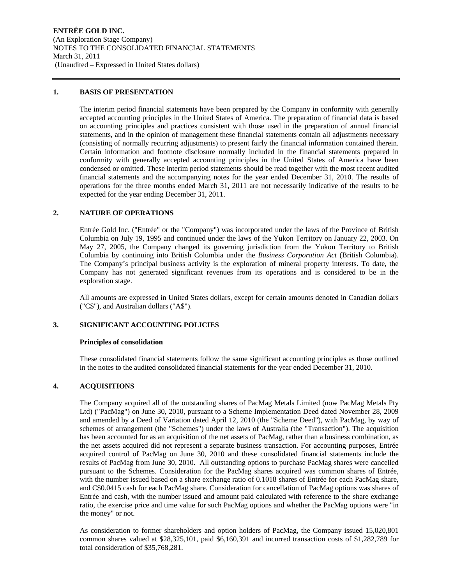#### **1. BASIS OF PRESENTATION**

The interim period financial statements have been prepared by the Company in conformity with generally accepted accounting principles in the United States of America. The preparation of financial data is based on accounting principles and practices consistent with those used in the preparation of annual financial statements, and in the opinion of management these financial statements contain all adjustments necessary (consisting of normally recurring adjustments) to present fairly the financial information contained therein. Certain information and footnote disclosure normally included in the financial statements prepared in conformity with generally accepted accounting principles in the United States of America have been condensed or omitted. These interim period statements should be read together with the most recent audited financial statements and the accompanying notes for the year ended December 31, 2010. The results of operations for the three months ended March 31, 2011 are not necessarily indicative of the results to be expected for the year ending December 31, 2011.

#### **2. NATURE OF OPERATIONS**

Entrée Gold Inc. ("Entrée" or the "Company") was incorporated under the laws of the Province of British Columbia on July 19, 1995 and continued under the laws of the Yukon Territory on January 22, 2003. On May 27, 2005, the Company changed its governing jurisdiction from the Yukon Territory to British Columbia by continuing into British Columbia under the *Business Corporation Act* (British Columbia). The Company's principal business activity is the exploration of mineral property interests. To date, the Company has not generated significant revenues from its operations and is considered to be in the exploration stage.

All amounts are expressed in United States dollars, except for certain amounts denoted in Canadian dollars ("C\$"), and Australian dollars ("A\$").

## **3. SIGNIFICANT ACCOUNTING POLICIES**

#### **Principles of consolidation**

These consolidated financial statements follow the same significant accounting principles as those outlined in the notes to the audited consolidated financial statements for the year ended December 31, 2010.

#### **4. ACQUISITIONS**

The Company acquired all of the outstanding shares of PacMag Metals Limited (now PacMag Metals Pty Ltd) ("PacMag") on June 30, 2010, pursuant to a Scheme Implementation Deed dated November 28, 2009 and amended by a Deed of Variation dated April 12, 2010 (the "Scheme Deed"), with PacMag, by way of schemes of arrangement (the "Schemes") under the laws of Australia (the "Transaction"). The acquisition has been accounted for as an acquisition of the net assets of PacMag, rather than a business combination, as the net assets acquired did not represent a separate business transaction. For accounting purposes, Entrée acquired control of PacMag on June 30, 2010 and these consolidated financial statements include the results of PacMag from June 30, 2010. All outstanding options to purchase PacMag shares were cancelled pursuant to the Schemes. Consideration for the PacMag shares acquired was common shares of Entrée, with the number issued based on a share exchange ratio of 0.1018 shares of Entrée for each PacMag share, and C\$0.0415 cash for each PacMag share. Consideration for cancellation of PacMag options was shares of Entrée and cash, with the number issued and amount paid calculated with reference to the share exchange ratio, the exercise price and time value for such PacMag options and whether the PacMag options were "in the money" or not.

As consideration to former shareholders and option holders of PacMag, the Company issued 15,020,801 common shares valued at \$28,325,101, paid \$6,160,391 and incurred transaction costs of \$1,282,789 for total consideration of \$35,768,281.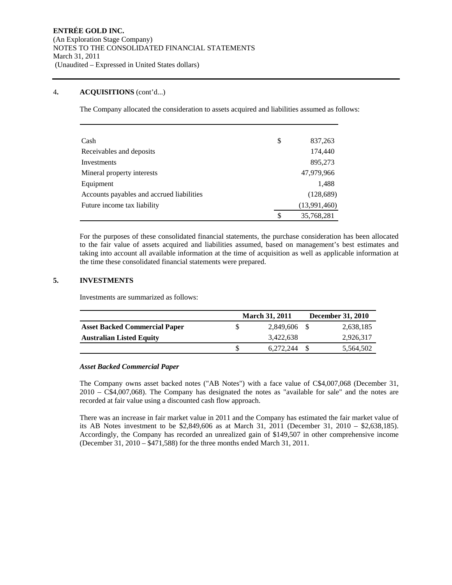## 4**. ACQUISITIONS** (cont'd...)

The Company allocated the consideration to assets acquired and liabilities assumed as follows:

| Cash                                      | \$<br>837,263 |
|-------------------------------------------|---------------|
| Receivables and deposits                  | 174,440       |
| Investments                               | 895,273       |
| Mineral property interests                | 47,979,966    |
| Equipment                                 | 1,488         |
| Accounts payables and accrued liabilities | (128,689)     |
| Future income tax liability               | (13,991,460)  |
|                                           | 35,768,281    |

For the purposes of these consolidated financial statements, the purchase consideration has been allocated to the fair value of assets acquired and liabilities assumed, based on management's best estimates and taking into account all available information at the time of acquisition as well as applicable information at the time these consolidated financial statements were prepared.

## **5. INVESTMENTS**

Investments are summarized as follows:

|                                      | <b>March 31, 2011</b> | <b>December 31, 2010</b> |
|--------------------------------------|-----------------------|--------------------------|
| <b>Asset Backed Commercial Paper</b> | 2,849,606 \$          | 2,638,185                |
| <b>Australian Listed Equity</b>      | 3,422,638             | 2,926,317                |
|                                      | 6.272.244             | 5,564,502                |

#### *Asset Backed Commercial Paper*

The Company owns asset backed notes ("AB Notes") with a face value of C\$4,007,068 (December 31, 2010 – C\$4,007,068). The Company has designated the notes as "available for sale" and the notes are recorded at fair value using a discounted cash flow approach.

There was an increase in fair market value in 2011 and the Company has estimated the fair market value of its AB Notes investment to be \$2,849,606 as at March 31, 2011 (December 31, 2010 – \$2,638,185). Accordingly, the Company has recorded an unrealized gain of \$149,507 in other comprehensive income (December 31, 2010 – \$471,588) for the three months ended March 31, 2011.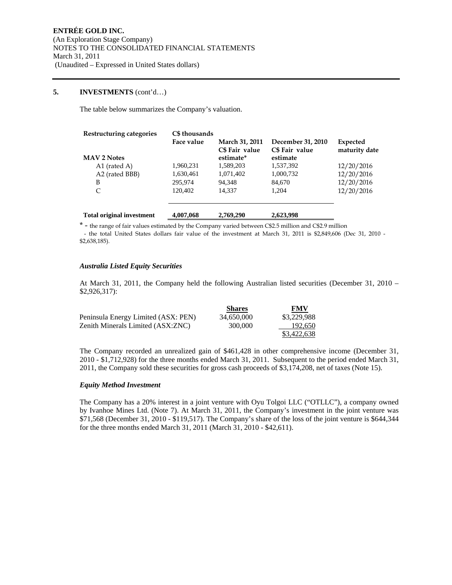#### **5. INVESTMENTS** (cont'd…)

The table below summarizes the Company's valuation.

| Restructuring categories         | C\$ thousands<br>Face value | March 31, 2011<br>C\$ Fair value | December 31, 2010<br>C\$ Fair value | Expected<br>maturity date |
|----------------------------------|-----------------------------|----------------------------------|-------------------------------------|---------------------------|
| <b>MAV 2 Notes</b>               |                             | estimate*                        | estimate                            |                           |
| A1 (rated A)                     | 1,960,231                   | 1,589,203                        | 1,537,392                           | 12/20/2016                |
| A2 (rated BBB)                   | 1,630,461                   | 1,071,402                        | 1,000,732                           | 12/20/2016                |
| B                                | 295,974                     | 94.348                           | 84,670                              | 12/20/2016                |
| C                                | 120.402                     | 14,337                           | 1.204                               | 12/20/2016                |
| <b>Total original investment</b> | 4,007,068                   | 2,769,290                        | 2,623,998                           |                           |

\* - the range of fair values estimated by the Company varied between C\$2.5 million and C\$2.9 million

 - the total United States dollars fair value of the investment at March 31, 2011 is \$2,849,606 (Dec 31, 2010 - \$2,638,185).

#### *Australia Listed Equity Securities*

At March 31, 2011, the Company held the following Australian listed securities (December 31, 2010 – \$2,926,317):

|                                     | <b>Shares</b> | FMV         |
|-------------------------------------|---------------|-------------|
| Peninsula Energy Limited (ASX: PEN) | 34.650.000    | \$3,229,988 |
| Zenith Minerals Limited (ASX:ZNC)   | 300,000       | 192,650     |
|                                     |               | \$3,422,638 |

The Company recorded an unrealized gain of \$461,428 in other comprehensive income (December 31, 2010 - \$1,712,928) for the three months ended March 31, 2011. Subsequent to the period ended March 31, 2011, the Company sold these securities for gross cash proceeds of \$3,174,208, net of taxes (Note 15).

#### *Equity Method Investment*

The Company has a 20% interest in a joint venture with Oyu Tolgoi LLC ("OTLLC"), a company owned by Ivanhoe Mines Ltd. (Note 7). At March 31, 2011, the Company's investment in the joint venture was \$71,568 (December 31, 2010 - \$119,517). The Company's share of the loss of the joint venture is \$644,344 for the three months ended March 31, 2011 (March 31, 2010 - \$42,611).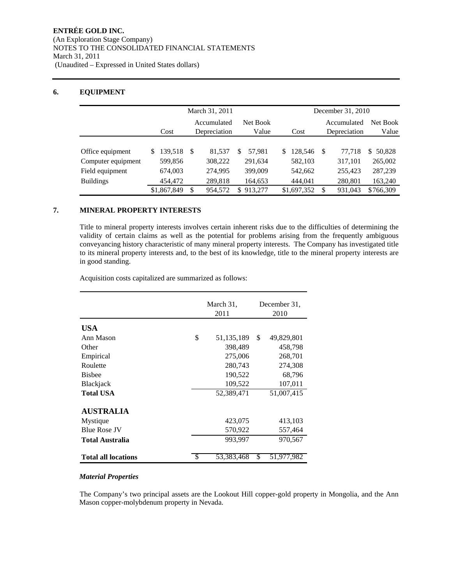## **6. EQUIPMENT**

| March 31, 2011     |               |      |                             |     |                           |   | December 31, 2010 |                             |                   |             |
|--------------------|---------------|------|-----------------------------|-----|---------------------------|---|-------------------|-----------------------------|-------------------|-------------|
|                    | Cost          |      | Accumulated<br>Depreciation |     | Net Book<br>Value<br>Cost |   |                   | Accumulated<br>Depreciation | Net Book<br>Value |             |
|                    |               |      |                             |     |                           |   |                   |                             |                   |             |
| Office equipment   | 139,518<br>S. | - \$ | 81.537                      | S   | 57.981                    | S | 128.546           | -S                          | 77.718            | 50,828<br>S |
| Computer equipment | 599,856       |      | 308,222                     |     | 291.634                   |   | 582,103           |                             | 317,101           | 265,002     |
| Field equipment    | 674,003       |      | 274,995                     |     | 399,009                   |   | 542,662           |                             | 255,423           | 287,239     |
| <b>Buildings</b>   | 454,472       |      | 289,818                     |     | 164,653                   |   | 444,041           |                             | 280,801           | 163,240     |
|                    | \$1,867,849   | \$   | 954,572                     | \$. | 913,277                   |   | \$1,697,352       |                             | 931,043           | \$766,309   |

## **7. MINERAL PROPERTY INTERESTS**

Title to mineral property interests involves certain inherent risks due to the difficulties of determining the validity of certain claims as well as the potential for problems arising from the frequently ambiguous conveyancing history characteristic of many mineral property interests. The Company has investigated title to its mineral property interests and, to the best of its knowledge, title to the mineral property interests are in good standing.

Acquisition costs capitalized are summarized as follows:

|                            |               | March 31,    | December 31.     |
|----------------------------|---------------|--------------|------------------|
|                            |               | 2011         | 2010             |
| <b>USA</b>                 |               |              |                  |
| Ann Mason                  | \$            | 51, 135, 189 | \$<br>49,829,801 |
| Other                      |               | 398,489      | 458,798          |
| Empirical                  |               | 275,006      | 268,701          |
| Roulette                   |               | 280,743      | 274,308          |
| <b>Bishee</b>              |               | 190,522      | 68,796           |
| Blackjack                  |               | 109,522      | 107,011          |
| <b>Total USA</b>           |               | 52,389,471   | 51,007,415       |
| <b>AUSTRALIA</b>           |               |              |                  |
| Mystique                   |               | 423,075      | 413,103          |
| <b>Blue Rose JV</b>        |               | 570,922      | 557,464          |
| Total Australia            |               | 993,997      | 970,567          |
| <b>Total all locations</b> | <sup>\$</sup> | 53,383,468   | \$<br>51,977,982 |

#### *Material Properties*

The Company's two principal assets are the Lookout Hill copper-gold property in Mongolia, and the Ann Mason copper-molybdenum property in Nevada.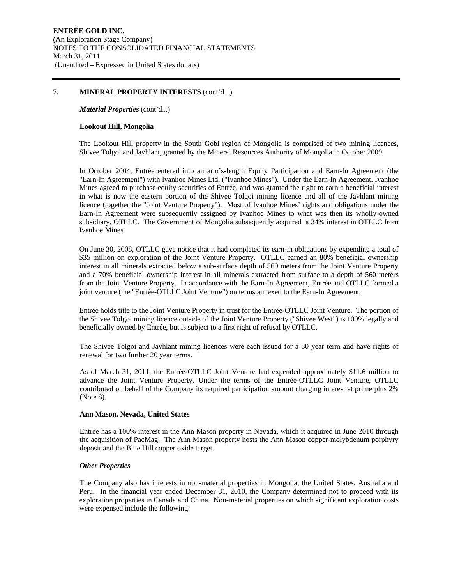#### **7. MINERAL PROPERTY INTERESTS** (cont'd...)

*Material Properties* (cont'd...)

#### **Lookout Hill, Mongolia**

The Lookout Hill property in the South Gobi region of Mongolia is comprised of two mining licences, Shivee Tolgoi and Javhlant, granted by the Mineral Resources Authority of Mongolia in October 2009.

In October 2004, Entrée entered into an arm's-length Equity Participation and Earn-In Agreement (the "Earn-In Agreement") with Ivanhoe Mines Ltd. ("Ivanhoe Mines"). Under the Earn-In Agreement, Ivanhoe Mines agreed to purchase equity securities of Entrée, and was granted the right to earn a beneficial interest in what is now the eastern portion of the Shivee Tolgoi mining licence and all of the Javhlant mining licence (together the "Joint Venture Property"). Most of Ivanhoe Mines' rights and obligations under the Earn-In Agreement were subsequently assigned by Ivanhoe Mines to what was then its wholly-owned subsidiary, OTLLC. The Government of Mongolia subsequently acquired a 34% interest in OTLLC from Ivanhoe Mines.

On June 30, 2008, OTLLC gave notice that it had completed its earn-in obligations by expending a total of \$35 million on exploration of the Joint Venture Property. OTLLC earned an 80% beneficial ownership interest in all minerals extracted below a sub-surface depth of 560 meters from the Joint Venture Property and a 70% beneficial ownership interest in all minerals extracted from surface to a depth of 560 meters from the Joint Venture Property. In accordance with the Earn-In Agreement, Entrée and OTLLC formed a joint venture (the "Entrée-OTLLC Joint Venture") on terms annexed to the Earn-In Agreement.

Entrée holds title to the Joint Venture Property in trust for the Entrée-OTLLC Joint Venture. The portion of the Shivee Tolgoi mining licence outside of the Joint Venture Property ("Shivee West") is 100% legally and beneficially owned by Entrée, but is subject to a first right of refusal by OTLLC.

The Shivee Tolgoi and Javhlant mining licences were each issued for a 30 year term and have rights of renewal for two further 20 year terms.

As of March 31, 2011, the Entrée-OTLLC Joint Venture had expended approximately \$11.6 million to advance the Joint Venture Property. Under the terms of the Entrée-OTLLC Joint Venture, OTLLC contributed on behalf of the Company its required participation amount charging interest at prime plus 2% (Note 8).

#### **Ann Mason, Nevada, United States**

Entrée has a 100% interest in the Ann Mason property in Nevada, which it acquired in June 2010 through the acquisition of PacMag. The Ann Mason property hosts the Ann Mason copper-molybdenum porphyry deposit and the Blue Hill copper oxide target.

#### *Other Properties*

The Company also has interests in non-material properties in Mongolia, the United States, Australia and Peru. In the financial year ended December 31, 2010, the Company determined not to proceed with its exploration properties in Canada and China. Non-material properties on which significant exploration costs were expensed include the following: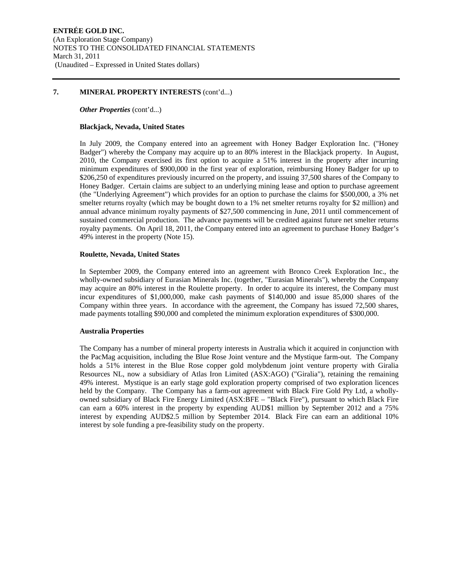#### **7. MINERAL PROPERTY INTERESTS** (cont'd...)

#### *Other Properties (cont'd...)*

#### **Blackjack, Nevada, United States**

In July 2009, the Company entered into an agreement with Honey Badger Exploration Inc. ("Honey Badger") whereby the Company may acquire up to an 80% interest in the Blackjack property. In August, 2010, the Company exercised its first option to acquire a 51% interest in the property after incurring minimum expenditures of \$900,000 in the first year of exploration, reimbursing Honey Badger for up to \$206,250 of expenditures previously incurred on the property, and issuing 37,500 shares of the Company to Honey Badger. Certain claims are subject to an underlying mining lease and option to purchase agreement (the "Underlying Agreement") which provides for an option to purchase the claims for \$500,000, a 3% net smelter returns royalty (which may be bought down to a 1% net smelter returns royalty for \$2 million) and annual advance minimum royalty payments of \$27,500 commencing in June, 2011 until commencement of sustained commercial production. The advance payments will be credited against future net smelter returns royalty payments. On April 18, 2011, the Company entered into an agreement to purchase Honey Badger's 49% interest in the property (Note 15).

#### **Roulette, Nevada, United States**

In September 2009, the Company entered into an agreement with Bronco Creek Exploration Inc., the wholly-owned subsidiary of Eurasian Minerals Inc. (together, "Eurasian Minerals"), whereby the Company may acquire an 80% interest in the Roulette property. In order to acquire its interest, the Company must incur expenditures of \$1,000,000, make cash payments of \$140,000 and issue 85,000 shares of the Company within three years. In accordance with the agreement, the Company has issued 72,500 shares, made payments totalling \$90,000 and completed the minimum exploration expenditures of \$300,000.

#### **Australia Properties**

The Company has a number of mineral property interests in Australia which it acquired in conjunction with the PacMag acquisition, including the Blue Rose Joint venture and the Mystique farm-out. The Company holds a 51% interest in the Blue Rose copper gold molybdenum joint venture property with Giralia Resources NL, now a subsidiary of Atlas Iron Limited (ASX:AGO) ("Giralia"), retaining the remaining 49% interest. Mystique is an early stage gold exploration property comprised of two exploration licences held by the Company. The Company has a farm-out agreement with Black Fire Gold Pty Ltd, a whollyowned subsidiary of Black Fire Energy Limited (ASX:BFE – "Black Fire"), pursuant to which Black Fire can earn a 60% interest in the property by expending AUD\$1 million by September 2012 and a 75% interest by expending AUD\$2.5 million by September 2014. Black Fire can earn an additional 10% interest by sole funding a pre-feasibility study on the property.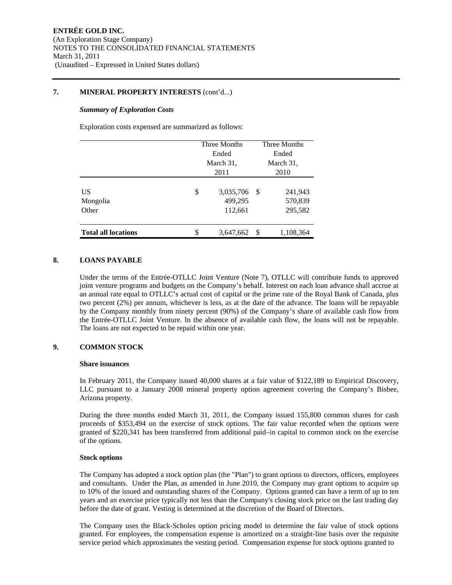#### **7. MINERAL PROPERTY INTERESTS** (cont'd...)

#### *Summary of Exploration Costs*

Exploration costs expensed are summarized as follows:

|                            | Three Months<br>Ended<br>March 31,<br>2011 |    | Three Months<br>Ended<br>March 31,<br>2010 |
|----------------------------|--------------------------------------------|----|--------------------------------------------|
| US<br>Mongolia<br>Other    | \$<br>3,035,706<br>499,295<br>112,661      | -S | 241,943<br>570,839<br>295,582              |
| <b>Total all locations</b> | \$<br>3,647,662                            | -S | 1,108,364                                  |

## **8. LOANS PAYABLE**

Under the terms of the Entrée-OTLLC Joint Venture (Note 7), OTLLC will contribute funds to approved joint venture programs and budgets on the Company's behalf. Interest on each loan advance shall accrue at an annual rate equal to OTLLC's actual cost of capital or the prime rate of the Royal Bank of Canada, plus two percent (2%) per annum, whichever is less, as at the date of the advance. The loans will be repayable by the Company monthly from ninety percent (90%) of the Company's share of available cash flow from the Entrée-OTLLC Joint Venture. In the absence of available cash flow, the loans will not be repayable. The loans are not expected to be repaid within one year.

## **9. COMMON STOCK**

#### **Share issuances**

In February 2011, the Company issued 40,000 shares at a fair value of \$122,189 to Empirical Discovery, LLC pursuant to a January 2008 mineral property option agreement covering the Company's Bisbee, Arizona property.

During the three months ended March 31, 2011, the Company issued 155,800 common shares for cash proceeds of \$353,494 on the exercise of stock options. The fair value recorded when the options were granted of \$220,341 has been transferred from additional paid–in capital to common stock on the exercise of the options.

#### **Stock options**

The Company has adopted a stock option plan (the "Plan") to grant options to directors, officers, employees and consultants. Under the Plan, as amended in June 2010, the Company may grant options to acquire up to 10% of the issued and outstanding shares of the Company. Options granted can have a term of up to ten years and an exercise price typically not less than the Company's closing stock price on the last trading day before the date of grant. Vesting is determined at the discretion of the Board of Directors.

The Company uses the Black-Scholes option pricing model to determine the fair value of stock options granted. For employees, the compensation expense is amortized on a straight-line basis over the requisite service period which approximates the vesting period. Compensation expense for stock options granted to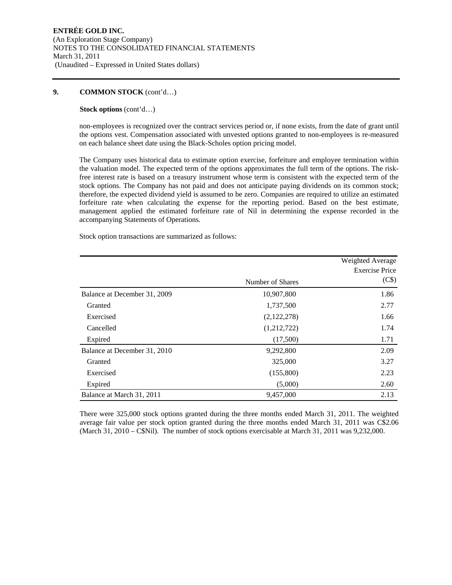#### **9. COMMON STOCK** (cont'd…)

#### **Stock options** (cont'd…)

non-employees is recognized over the contract services period or, if none exists, from the date of grant until the options vest. Compensation associated with unvested options granted to non-employees is re-measured on each balance sheet date using the Black-Scholes option pricing model.

The Company uses historical data to estimate option exercise, forfeiture and employee termination within the valuation model. The expected term of the options approximates the full term of the options. The riskfree interest rate is based on a treasury instrument whose term is consistent with the expected term of the stock options. The Company has not paid and does not anticipate paying dividends on its common stock; therefore, the expected dividend yield is assumed to be zero. Companies are required to utilize an estimated forfeiture rate when calculating the expense for the reporting period. Based on the best estimate, management applied the estimated forfeiture rate of Nil in determining the expense recorded in the accompanying Statements of Operations.

Stock option transactions are summarized as follows:

|                              | Number of Shares | Weighted Average<br><b>Exercise Price</b><br>(C\$) |
|------------------------------|------------------|----------------------------------------------------|
| Balance at December 31, 2009 | 10,907,800       | 1.86                                               |
| Granted                      | 1,737,500        | 2.77                                               |
| Exercised                    | (2,122,278)      | 1.66                                               |
| Cancelled                    | (1,212,722)      | 1.74                                               |
| Expired                      | (17,500)         | 1.71                                               |
| Balance at December 31, 2010 | 9,292,800        | 2.09                                               |
| Granted                      | 325,000          | 3.27                                               |
| Exercised                    | (155,800)        | 2.23                                               |
| Expired                      | (5,000)          | 2.60                                               |
| Balance at March 31, 2011    | 9,457,000        | 2.13                                               |

There were 325,000 stock options granted during the three months ended March 31, 2011. The weighted average fair value per stock option granted during the three months ended March 31, 2011 was C\$2.06 (March 31, 2010 – C\$Nil). The number of stock options exercisable at March 31, 2011 was 9,232,000.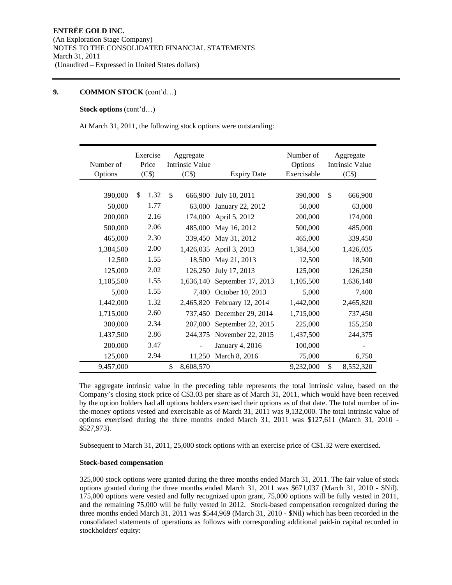## **9. COMMON STOCK** (cont'd…)

#### **Stock options** (cont'd…)

At March 31, 2011, the following stock options were outstanding:

| Number of<br>Options | Exercise<br>Price<br>(C\$) | Aggregate<br><b>Intrinsic Value</b><br>(C\$) | <b>Expiry Date</b> | Number of<br>Options<br>Exercisable | Aggregate<br>Intrinsic Value<br>(C\$) |
|----------------------|----------------------------|----------------------------------------------|--------------------|-------------------------------------|---------------------------------------|
|                      |                            |                                              |                    |                                     |                                       |
| 390,000              | 1.32<br>\$                 | \$<br>666,900                                | July 10, 2011      | 390,000                             | \$<br>666,900                         |
| 50,000               | 1.77                       | 63,000                                       | January 22, 2012   | 50,000                              | 63,000                                |
| 200,000              | 2.16                       | 174,000                                      | April 5, 2012      | 200,000                             | 174,000                               |
| 500,000              | 2.06                       | 485,000                                      | May 16, 2012       | 500,000                             | 485,000                               |
| 465,000              | 2.30                       | 339,450                                      | May 31, 2012       | 465,000                             | 339,450                               |
| 1,384,500            | 2.00                       | 1,426,035                                    | April 3, 2013      | 1,384,500                           | 1,426,035                             |
| 12,500               | 1.55                       | 18,500                                       | May 21, 2013       | 12,500                              | 18,500                                |
| 125,000              | 2.02                       | 126,250                                      | July 17, 2013      | 125,000                             | 126,250                               |
| 1,105,500            | 1.55                       | 1,636,140                                    | September 17, 2013 | 1,105,500                           | 1,636,140                             |
| 5,000                | 1.55                       | 7,400                                        | October 10, 2013   | 5,000                               | 7,400                                 |
| 1,442,000            | 1.32                       | 2,465,820                                    | February 12, 2014  | 1,442,000                           | 2,465,820                             |
| 1,715,000            | 2.60                       | 737,450                                      | December 29, 2014  | 1,715,000                           | 737,450                               |
| 300,000              | 2.34                       | 207,000                                      | September 22, 2015 | 225,000                             | 155,250                               |
| 1,437,500            | 2.86                       | 244,375                                      | November 22, 2015  | 1,437,500                           | 244,375                               |
| 200,000              | 3.47                       |                                              | January 4, 2016    | 100,000                             |                                       |
| 125,000              | 2.94                       | 11,250                                       | March 8, 2016      | 75,000                              | 6,750                                 |
| 9,457,000            |                            | \$<br>8,608,570                              |                    | 9,232,000                           | \$<br>8,552,320                       |

The aggregate intrinsic value in the preceding table represents the total intrinsic value, based on the Company's closing stock price of C\$3.03 per share as of March 31, 2011, which would have been received by the option holders had all options holders exercised their options as of that date. The total number of inthe-money options vested and exercisable as of March 31, 2011 was 9,132,000. The total intrinsic value of options exercised during the three months ended March 31, 2011 was \$127,611 (March 31, 2010 - \$527,973).

Subsequent to March 31, 2011, 25,000 stock options with an exercise price of C\$1.32 were exercised.

#### **Stock-based compensation**

325,000 stock options were granted during the three months ended March 31, 2011. The fair value of stock options granted during the three months ended March 31, 2011 was \$671,037 (March 31, 2010 - \$Nil). 175,000 options were vested and fully recognized upon grant, 75,000 options will be fully vested in 2011, and the remaining 75,000 will be fully vested in 2012. Stock-based compensation recognized during the three months ended March 31, 2011 was \$544,969 (March 31, 2010 - \$Nil) which has been recorded in the consolidated statements of operations as follows with corresponding additional paid-in capital recorded in stockholders' equity: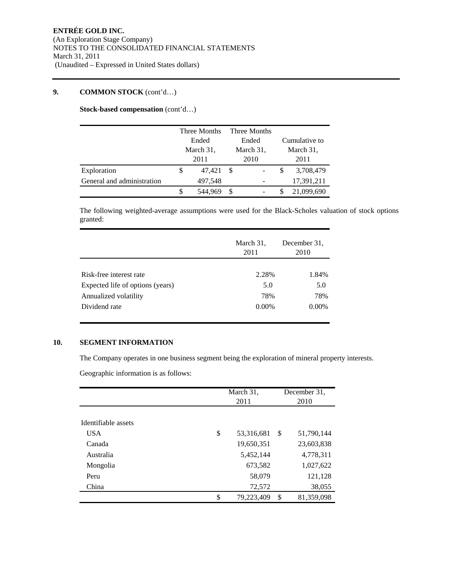## **9. COMMON STOCK** (cont'd…)

**Stock-based compensation** (cont'd…)

|                            |           | Three Months |               | Three Months             |           |               |
|----------------------------|-----------|--------------|---------------|--------------------------|-----------|---------------|
|                            |           | Ended        |               | Ended                    |           | Cumulative to |
|                            | March 31, |              | March 31,     |                          | March 31, |               |
|                            | 2011      |              | 2010          |                          | 2011      |               |
| Exploration                | \$        | 47,421       | <sup>\$</sup> | $\overline{\phantom{a}}$ |           | 3,708,479     |
| General and administration |           | 497,548      |               |                          |           | 17,391,211    |
|                            | S         | 544.969      | \$.           |                          |           | 21,099,690    |

The following weighted-average assumptions were used for the Black-Scholes valuation of stock options granted:

|                                  | March 31,<br>2011 | December 31.<br>2010 |
|----------------------------------|-------------------|----------------------|
|                                  |                   |                      |
| Risk-free interest rate          | 2.28%             | 1.84%                |
| Expected life of options (years) | 5.0               | 5.0                  |
| Annualized volatility            | 78%               | 78%                  |
| Dividend rate                    | $0.00\%$          | $0.00\%$             |
|                                  |                   |                      |

## **10. SEGMENT INFORMATION**

The Company operates in one business segment being the exploration of mineral property interests.

Geographic information is as follows:

|                     | March 31,<br>2011 |    | December 31,<br>2010 |
|---------------------|-------------------|----|----------------------|
| Identifiable assets |                   |    |                      |
| USA                 | \$<br>53,316,681  | S  | 51,790,144           |
| Canada              | 19,650,351        |    | 23,603,838           |
| Australia           | 5,452,144         |    | 4,778,311            |
| Mongolia            | 673,582           |    | 1,027,622            |
| Peru                | 58,079            |    | 121,128              |
| China               | 72,572            |    | 38,055               |
|                     | \$<br>79,223,409  | \$ | 81,359,098           |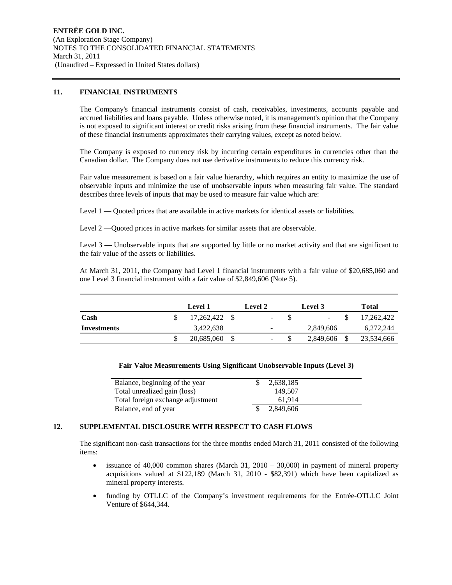#### **11. FINANCIAL INSTRUMENTS**

The Company's financial instruments consist of cash, receivables, investments, accounts payable and accrued liabilities and loans payable. Unless otherwise noted, it is management's opinion that the Company is not exposed to significant interest or credit risks arising from these financial instruments. The fair value of these financial instruments approximates their carrying values, except as noted below.

The Company is exposed to currency risk by incurring certain expenditures in currencies other than the Canadian dollar. The Company does not use derivative instruments to reduce this currency risk.

Fair value measurement is based on a fair value hierarchy, which requires an entity to maximize the use of observable inputs and minimize the use of unobservable inputs when measuring fair value. The standard describes three levels of inputs that may be used to measure fair value which are:

Level 1 — Quoted prices that are available in active markets for identical assets or liabilities.

Level 2 —Quoted prices in active markets for similar assets that are observable.

Level 3 — Unobservable inputs that are supported by little or no market activity and that are significant to the fair value of the assets or liabilities.

At March 31, 2011, the Company had Level 1 financial instruments with a fair value of \$20,685,060 and one Level 3 financial instrument with a fair value of \$2,849,606 (Note 5).

|             |   | <b>Level 1</b> | <b>Level 2</b> | Level 3        | Total      |
|-------------|---|----------------|----------------|----------------|------------|
| Cash        |   | 17,262,422 \$  | -              | $\blacksquare$ | 17.262.422 |
| Investments |   | 3,422,638      | -              | 2,849,606      | 6,272,244  |
|             | J | 20,685,060     | -              | 2,849,606      | 23,534,666 |

| Fair Value Measurements Using Significant Unobservable Inputs (Level 3) |  |  |
|-------------------------------------------------------------------------|--|--|
|                                                                         |  |  |

| 2,638,185 |  |
|-----------|--|
| 149.507   |  |
| 61.914    |  |
| 2.849.606 |  |
|           |  |

#### **12. SUPPLEMENTAL DISCLOSURE WITH RESPECT TO CASH FLOWS**

The significant non-cash transactions for the three months ended March 31, 2011 consisted of the following items:

- issuance of 40,000 common shares (March 31, 2010 30,000) in payment of mineral property acquisitions valued at \$122,189 (March 31, 2010 - \$82,391) which have been capitalized as mineral property interests.
- funding by OTLLC of the Company's investment requirements for the Entrée-OTLLC Joint Venture of \$644,344.